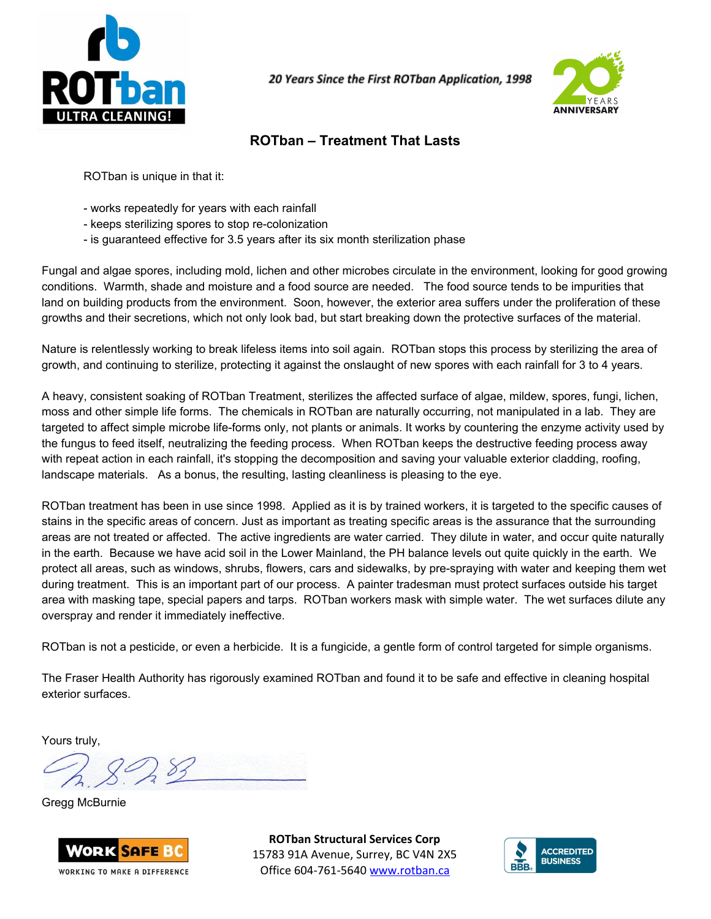

20 Years Since the First ROTban Application, 1998



## **ROTban – Treatment That Lasts**

ROTban is unique in that it:

- works repeatedly for years with each rainfall
- keeps sterilizing spores to stop re-colonization
- is guaranteed effective for 3.5 years after its six month sterilization phase

Fungal and algae spores, including mold, lichen and other microbes circulate in the environment, looking for good growing conditions. Warmth, shade and moisture and a food source are needed. The food source tends to be impurities that land on building products from the environment. Soon, however, the exterior area suffers under the proliferation of these growths and their secretions, which not only look bad, but start breaking down the protective surfaces of the material.

Nature is relentlessly working to break lifeless items into soil again. ROTban stops this process by sterilizing the area of growth, and continuing to sterilize, protecting it against the onslaught of new spores with each rainfall for 3 to 4 years.

A heavy, consistent soaking of ROTban Treatment, sterilizes the affected surface of algae, mildew, spores, fungi, lichen, moss and other simple life forms. The chemicals in ROTban are naturally occurring, not manipulated in a lab. They are targeted to affect simple microbe life-forms only, not plants or animals. It works by countering the enzyme activity used by the fungus to feed itself, neutralizing the feeding process. When ROTban keeps the destructive feeding process away with repeat action in each rainfall, it's stopping the decomposition and saving your valuable exterior cladding, roofing, landscape materials. As a bonus, the resulting, lasting cleanliness is pleasing to the eye.

ROTban treatment has been in use since 1998. Applied as it is by trained workers, it is targeted to the specific causes of stains in the specific areas of concern. Just as important as treating specific areas is the assurance that the surrounding areas are not treated or affected. The active ingredients are water carried. They dilute in water, and occur quite naturally in the earth. Because we have acid soil in the Lower Mainland, the PH balance levels out quite quickly in the earth. We protect all areas, such as windows, shrubs, flowers, cars and sidewalks, by pre-spraying with water and keeping them wet during treatment. This is an important part of our process. A painter tradesman must protect surfaces outside his target area with masking tape, special papers and tarps. ROTban workers mask with simple water. The wet surfaces dilute any overspray and render it immediately ineffective.

ROTban is not a pesticide, or even a herbicide. It is a fungicide, a gentle form of control targeted for simple organisms.

The Fraser Health Authority has rigorously examined ROTban and found it to be safe and effective in cleaning hospital exterior surfaces.

Yours truly,

Gregg McBurnie



**ROTban Structural Services Corp** 15783 91A Avenue, Surrey, BC V4N 2X5 Office 604-761-5640 [www.rotban.ca](http://www.rotban.ca/)